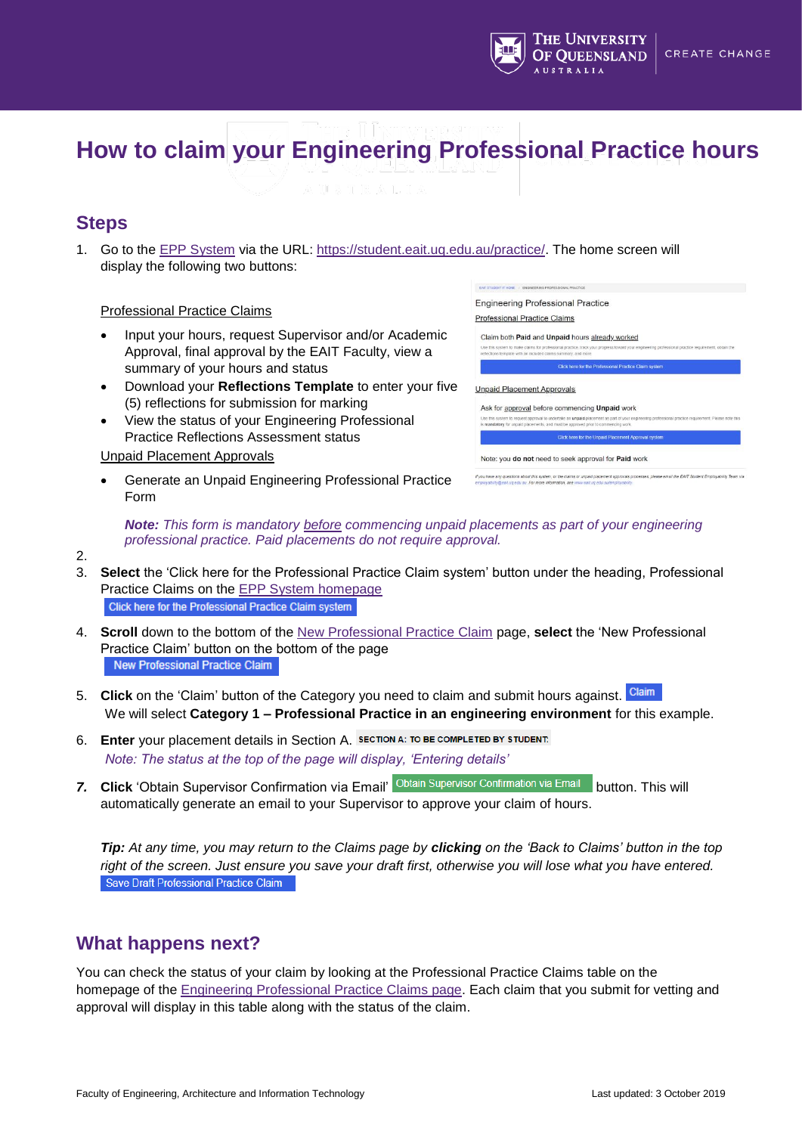

# **How to claim your Engineering Professional Practice hours**

## **Steps**

1. Go to the [EPP System](https://student.eait.uq.edu.au/practice/) via the URL: [https://student.eait.uq.edu.au/practice/.](https://student.eait.uq.edu.au/practice/) The home screen will display the following two buttons:

#### Professional Practice Claims

- Input your hours, request Supervisor and/or Academic Approval, final approval by the EAIT Faculty, view a summary of your hours and status
- Download your **Reflections Template** to enter your five (5) reflections for submission for marking
- View the status of your Engineering Professional Practice Reflections Assessment status

Unpaid Placement Approvals

 Generate an Unpaid Engineering Professional Practice Form



Note: you do not need to seek approval for Paid work

*Note: This form is mandatory before commencing unpaid placements as part of your engineering professional practice. Paid placements do not require approval.*

- 2.
- 3. **Select** the 'Click here for the Professional Practice Claim system' button under the heading, Professional Practice Claims on the [EPP System homepage](https://student.eait.uq.edu.au/practice/) Click here for the Professional Practice Claim system
- 4. **Scroll** down to the bottom of the [New Professional Practice Claim](https://student.eait.uq.edu.au/practice/claim/) page, **select** the 'New Professional Practice Claim' button on the bottom of the page New Professional Practice Claim
- 5. **Click** on the 'Claim' button of the Category you need to claim and submit hours against. Claim We will select **Category 1 – Professional Practice in an engineering environment** for this example.
- 6. **Enter** your placement details in Section A. *Note: The status at the top of the page will display, 'Entering details'*
- 7. Click 'Obtain Supervisor Confirmation via Email' Obtain Supervisor Confirmation via Email button. This will automatically generate an email to your Supervisor to approve your claim of hours.

*Tip: At any time, you may return to the Claims page by clicking on the 'Back to Claims' button in the top right of the screen. Just ensure you save your draft first, otherwise you will lose what you have entered.* Save Draft Professional Practice Claim

## **What happens next?**

You can check the status of your claim by looking at the Professional Practice Claims table on the homepage of the [Engineering Professional Practice Claims page.](https://student.eait.uq.edu.au/practice/claim/) Each claim that you submit for vetting and approval will display in this table along with the status of the claim.